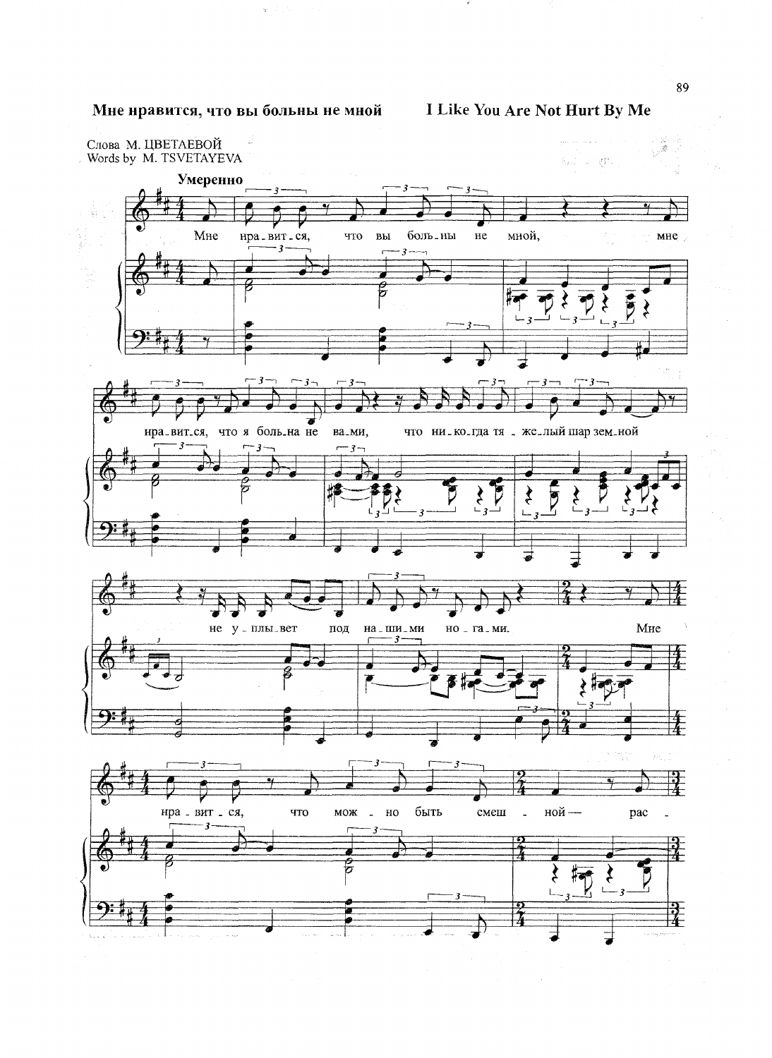## Мне нравится, что вы больны не мной

 $\varphi\in\mathbb{Z}^d$  ,  $\mathcal{N}^d$ 

I Like You Are Not Hurt By Me

 $\sim$ 

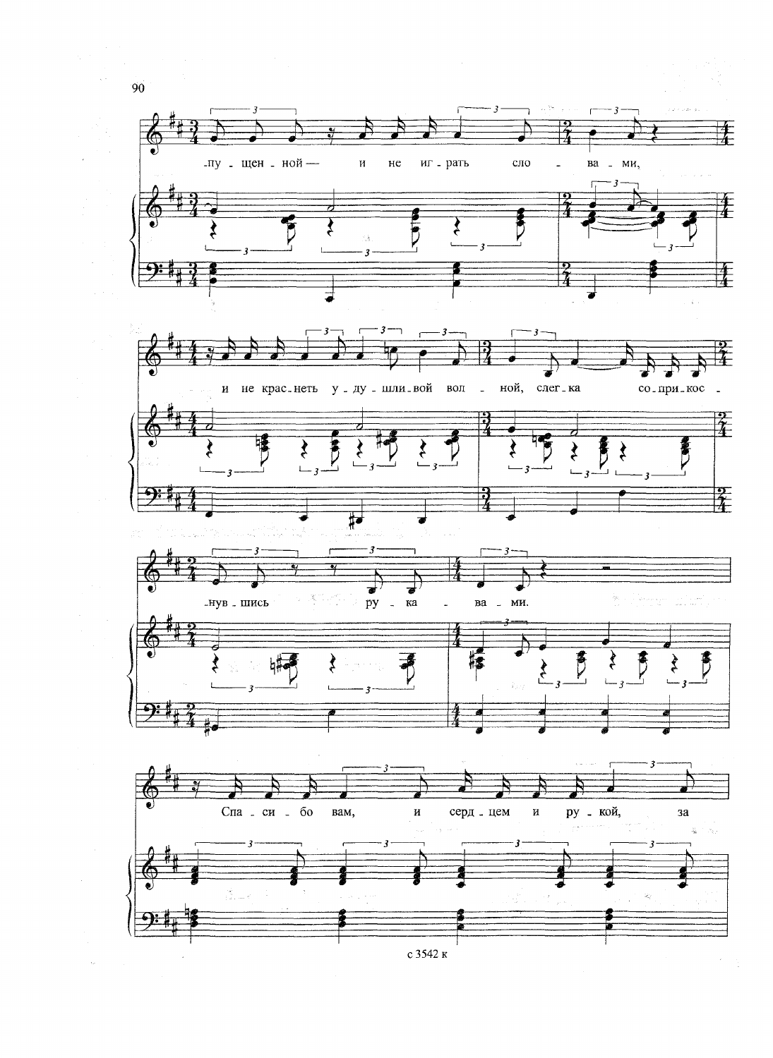

с 3542 к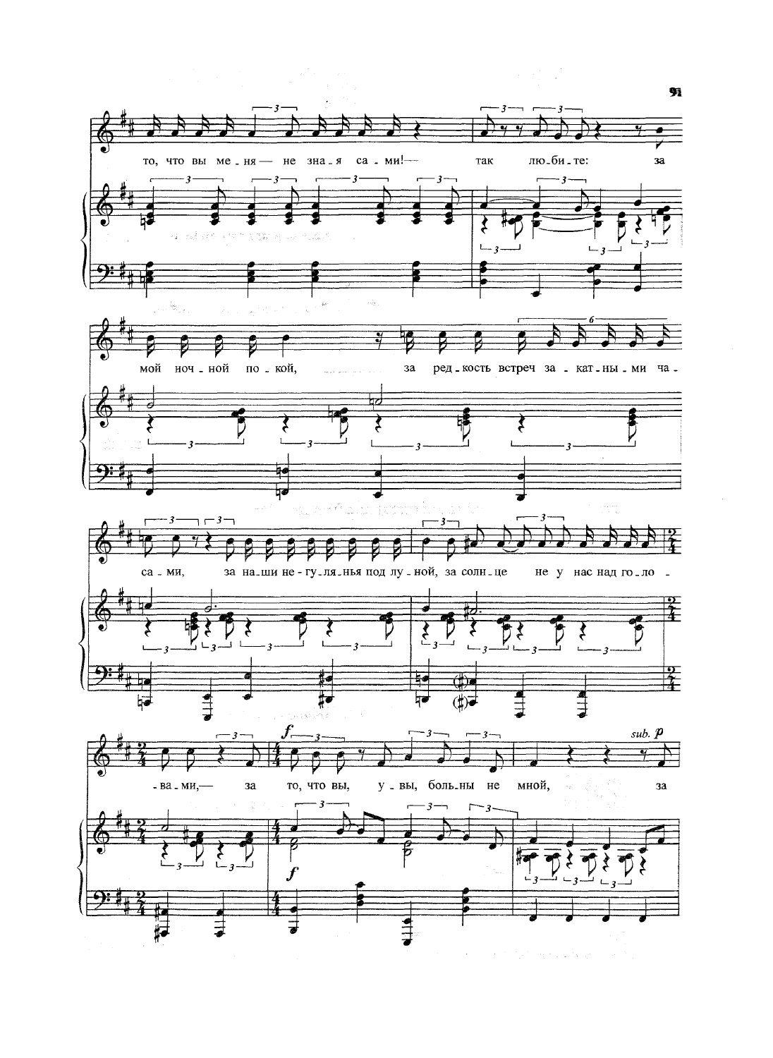

an Tara

劈

 $\mathcal{L}^{\text{max}}_{\text{max}}$  , where  $\mathcal{L}^{\text{max}}_{\text{max}}$